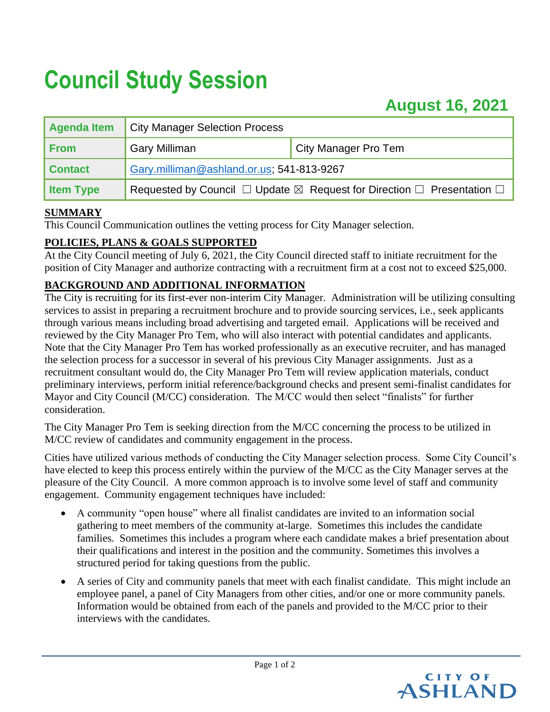# **Council Study Session**

# **August 16, 2021**

| Agenda Item      | <b>City Manager Selection Process</b>                                                           |                             |
|------------------|-------------------------------------------------------------------------------------------------|-----------------------------|
| <b>From</b>      | <b>Gary Milliman</b>                                                                            | <b>City Manager Pro Tem</b> |
| <b>Contact</b>   | Gary.milliman@ashland.or.us; 541-813-9267                                                       |                             |
| <b>Item Type</b> | Requested by Council $\Box$ Update $\boxtimes$ Request for Direction $\Box$ Presentation $\Box$ |                             |

## **SUMMARY**

This Council Communication outlines the vetting process for City Manager selection.

# **POLICIES, PLANS & GOALS SUPPORTED**

At the City Council meeting of July 6, 2021, the City Council directed staff to initiate recruitment for the position of City Manager and authorize contracting with a recruitment firm at a cost not to exceed \$25,000.

# **BACKGROUND AND ADDITIONAL INFORMATION**

The City is recruiting for its first-ever non-interim City Manager. Administration will be utilizing consulting services to assist in preparing a recruitment brochure and to provide sourcing services, i.e., seek applicants through various means including broad advertising and targeted email. Applications will be received and reviewed by the City Manager Pro Tem, who will also interact with potential candidates and applicants. Note that the City Manager Pro Tem has worked professionally as an executive recruiter, and has managed the selection process for a successor in several of his previous City Manager assignments. Just as a recruitment consultant would do, the City Manager Pro Tem will review application materials, conduct preliminary interviews, perform initial reference/background checks and present semi-finalist candidates for Mayor and City Council (M/CC) consideration. The M/CC would then select "finalists" for further consideration.

The City Manager Pro Tem is seeking direction from the M/CC concerning the process to be utilized in M/CC review of candidates and community engagement in the process.

Cities have utilized various methods of conducting the City Manager selection process. Some City Council's have elected to keep this process entirely within the purview of the M/CC as the City Manager serves at the pleasure of the City Council. A more common approach is to involve some level of staff and community engagement. Community engagement techniques have included:

- A community "open house" where all finalist candidates are invited to an information social gathering to meet members of the community at-large. Sometimes this includes the candidate families. Sometimes this includes a program where each candidate makes a brief presentation about their qualifications and interest in the position and the community. Sometimes this involves a structured period for taking questions from the public.
- A series of City and community panels that meet with each finalist candidate. This might include an employee panel, a panel of City Managers from other cities, and/or one or more community panels. Information would be obtained from each of the panels and provided to the M/CC prior to their interviews with the candidates.